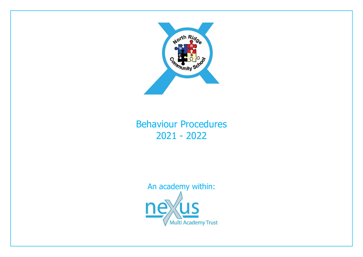

# Behaviour Procedures 2021 - 2022

An academy within:Multi Academy Trust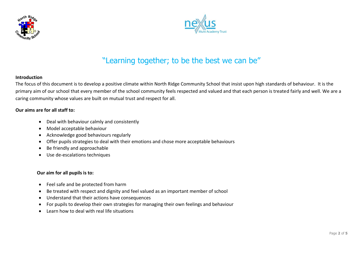



# "Learning together; to be the best we can be"

### **Introduction**

The focus of this document is to develop a positive climate within North Ridge Community School that insist upon high standards of behaviour. It is the primary aim of our school that every member of the school community feels respected and valued and that each person is treated fairly and well. We are a caring community whose values are built on mutual trust and respect for all.

#### **Our aims are for all staff to:**

- Deal with behaviour calmly and consistently
- Model acceptable behaviour
- Acknowledge good behaviours regularly
- Offer pupils strategies to deal with their emotions and chose more acceptable behaviours
- Be friendly and approachable
- Use de-escalations techniques

#### **Our aim for all pupils is to:**

- Feel safe and be protected from harm
- Be treated with respect and dignity and feel valued as an important member of school
- Understand that their actions have consequences
- For pupils to develop their own strategies for managing their own feelings and behaviour
- Learn how to deal with real life situations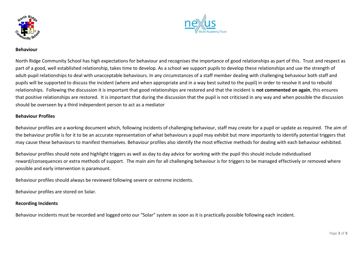



#### **Behaviour**

North Ridge Community School has high expectations for behaviour and recognises the importance of good relationships as part of this. Trust and respect as part of a good, well established relationship, takes time to develop. As a school we support pupils to develop these relationships and use the strength of adult-pupil relationships to deal with unacceptable behaviours. In any circumstances of a staff member dealing with challenging behaviour both staff and pupils will be supported to discuss the incident (where and when appropriate and in a way best suited to the pupil) in order to resolve it and to rebuild relationships. Following the discussion it is important that good relationships are restored and that the incident is **not commented on again**, this ensures that positive relationships are restored. It is important that during the discussion that the pupil is not criticised in any way and when possible the discussion should be overseen by a third independent person to act as a mediator

### **Behaviour Profiles**

Behaviour profiles are a working document which, following incidents of challenging behaviour, staff may create for a pupil or update as required. The aim of the behaviour profile is for it to be an accurate representation of what behaviours a pupil may exhibit but more importantly to identify potential triggers that may cause these behaviours to manifest themselves. Behaviour profiles also identify the most effective methods for dealing with each behaviour exhibited.

Behaviour profiles should note and highlight triggers as well as day to day advice for working with the pupil this should include individualised reward/consequences or extra methods of support. The main aim for all challenging behaviour is for triggers to be managed effectively or removed where possible and early intervention is paramount.

Behaviour profiles should always be reviewed following severe or extreme incidents.

Behaviour profiles are stored on Solar.

# **Recording Incidents**

Behaviour incidents must be recorded and logged onto our "Solar" system as soon as it is practically possible following each incident.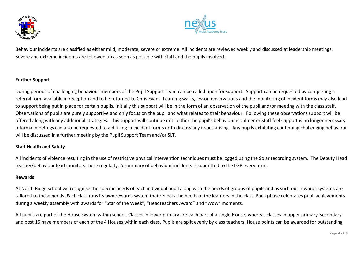



Behaviour incidents are classified as either mild, moderate, severe or extreme. All incidents are reviewed weekly and discussed at leadership meetings. Severe and extreme incidents are followed up as soon as possible with staff and the pupils involved.

### **Further Support**

During periods of challenging behaviour members of the Pupil Support Team can be called upon for support. Support can be requested by completing a referral form available in reception and to be returned to Chris Evans. Learning walks, lesson observations and the monitoring of incident forms may also lead to support being put in place for certain pupils. Initially this support will be in the form of an observation of the pupil and/or meeting with the class staff. Observations of pupils are purely supportive and only focus on the pupil and what relates to their behaviour. Following these observations support will be offered along with any additional strategies. This support will continue until either the pupil's behaviour is calmer or staff feel support is no longer necessary. Informal meetings can also be requested to aid filling in incident forms or to discuss any issues arising. Any pupils exhibiting continuing challenging behaviour will be discussed in a further meeting by the Pupil Support Team and/or SLT.

#### **Staff Health and Safety**

All incidents of violence resulting in the use of restrictive physical intervention techniques must be logged using the Solar recording system. The Deputy Head teacher/behaviour lead monitors these regularly. A summary of behaviour incidents is submitted to the LGB every term.

#### **Rewards**

At North Ridge school we recognise the specific needs of each individual pupil along with the needs of groups of pupils and as such our rewards systems are tailored to these needs. Each class runs its own rewards system that reflects the needs of the learners in the class. Each phase celebrates pupil achievements during a weekly assembly with awards for "Star of the Week", "Headteachers Award" and "Wow" moments.

All pupils are part of the House system within school. Classes in lower primary are each part of a single House, whereas classes in upper primary, secondary and post 16 have members of each of the 4 Houses within each class. Pupils are split evenly by class teachers. House points can be awarded for outstanding